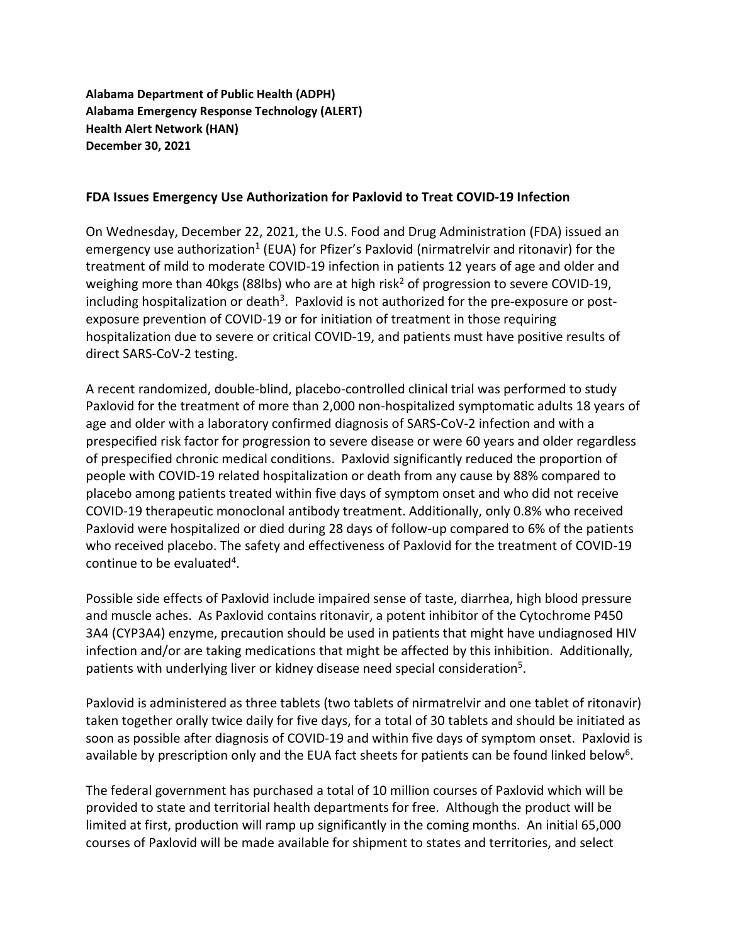**Alabama Department of Public Health (ADPH) Alabama Emergency Response Technology (ALERT) Health Alert Network (HAN) December 30, 2021**

## **FDA Issues Emergency Use Authorization for Paxlovid to Treat COVID-19 Infection**

On Wednesday, December 22, 2021, the U.S. Food and Drug Administration (FDA) issued an emergency use authorization<sup>1</sup> (EUA) for Pfizer's Paxlovid (nirmatrelvir and ritonavir) for the treatment of mild to moderate COVID-19 infection in patients 12 years of age and older and weighing more than 40kgs (88lbs) who are at high risk<sup>2</sup> of progression to severe COVID-19, including hospitalization or death<sup>3</sup>. Paxlovid is not authorized for the pre-exposure or postexposure prevention of COVID-19 or for initiation of treatment in those requiring hospitalization due to severe or critical COVID-19, and patients must have positive results of direct SARS-CoV-2 testing.

A recent randomized, double-blind, placebo-controlled clinical trial was performed to study Paxlovid for the treatment of more than 2,000 non-hospitalized symptomatic adults 18 years of age and older with a laboratory confirmed diagnosis of SARS-CoV-2 infection and with a prespecified risk factor for progression to severe disease or were 60 years and older regardless of prespecified chronic medical conditions. Paxlovid significantly reduced the proportion of people with COVID-19 related hospitalization or death from any cause by 88% compared to placebo among patients treated within five days of symptom onset and who did not receive COVID-19 therapeutic monoclonal antibody treatment. Additionally, only 0.8% who received Paxlovid were hospitalized or died during 28 days of follow-up compared to 6% of the patients who received placebo. The safety and effectiveness of Paxlovid for the treatment of COVID-19 continue to be evaluated<sup>4</sup>.

Possible side effects of Paxlovid include impaired sense of taste, diarrhea, high blood pressure and muscle aches. As Paxlovid contains ritonavir, a potent inhibitor of the Cytochrome P450 3A4 (CYP3A4) enzyme, precaution should be used in patients that might have undiagnosed HIV infection and/or are taking medications that might be affected by this inhibition. Additionally, patients with underlying liver or kidney disease need special consideration<sup>5</sup>.

Paxlovid is administered as three tablets (two tablets of nirmatrelvir and one tablet of ritonavir) taken together orally twice daily for five days, for a total of 30 tablets and should be initiated as soon as possible after diagnosis of COVID-19 and within five days of symptom onset. Paxlovid is available by prescription only and the EUA fact sheets for patients can be found linked below<sup>6</sup>.

The federal government has purchased a total of 10 million courses of Paxlovid which will be provided to state and territorial health departments for free. Although the product will be limited at first, production will ramp up significantly in the coming months. An initial 65,000 courses of Paxlovid will be made available for shipment to states and territories, and select